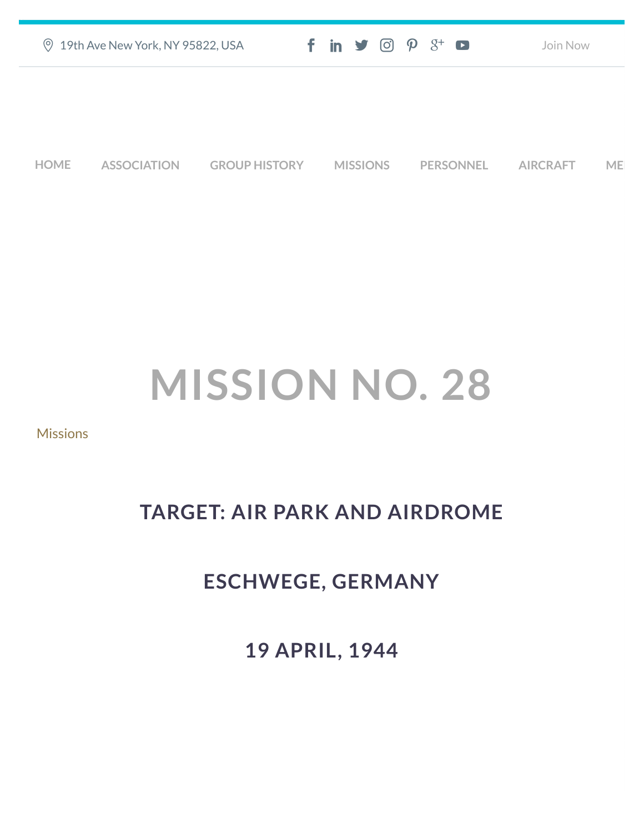| <b>9 19th Ave New York, NY 95822, USA</b> |                    |                      | $f$ in $\blacktriangleright$ $\heartsuit$ $\varnothing$ $\varnothing$ $\dashv$ $\Box$ |                 |  |                  | Join Now        |           |  |
|-------------------------------------------|--------------------|----------------------|---------------------------------------------------------------------------------------|-----------------|--|------------------|-----------------|-----------|--|
|                                           |                    |                      |                                                                                       |                 |  |                  |                 |           |  |
|                                           |                    |                      |                                                                                       |                 |  |                  |                 |           |  |
| <b>HOME</b>                               | <b>ASSOCIATION</b> | <b>GROUP HISTORY</b> |                                                                                       | <b>MISSIONS</b> |  | <b>PERSONNEL</b> | <b>AIRCRAFT</b> | <b>ME</b> |  |

## **MISSION NO. 28**

## **[Missions](https://457thbombgroupassoc.org/category/missions/)**

## **TARGET: AIR PARK AND AIRDROME**

## **ESCHWEGE, GERMANY**

**19 APRIL, 1944**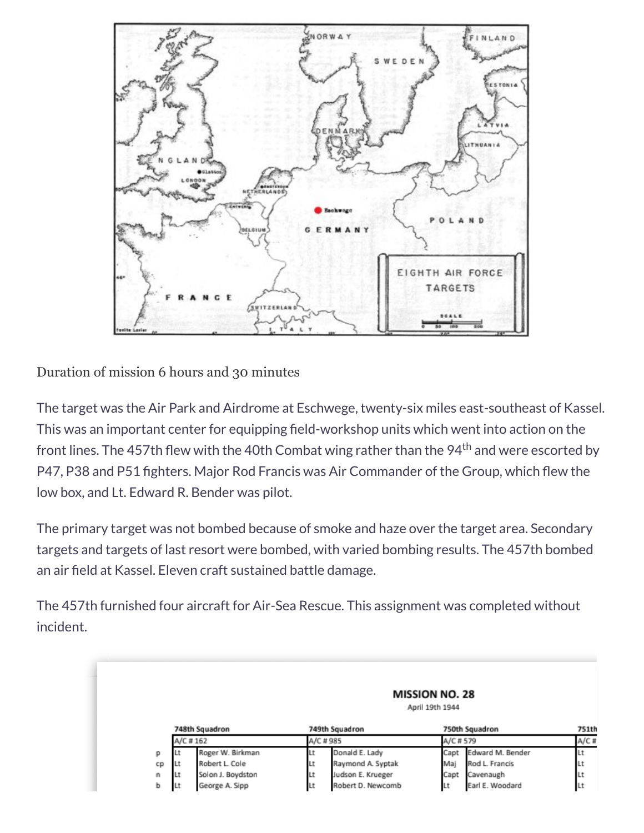

Duration of mission 6 hours and 30 minutes

The target was the Air Park and Airdrome at Eschwege, twenty-six miles east-southeast of Kassel. This was an important center for equipping field-workshop units which went into action on the front lines. The 457th flew with the 40th Combat wing rather than the 94<sup>th</sup> and were escorted by P47, P38 and P51 fighters. Major Rod Francis was Air Commander of the Group, which flew the low box, and Lt. Edward R. Bender was pilot.

The primary target was not bombed because of smoke and haze over the target area. Secondary targets and targets of last resort were bombed, with varied bombing results. The 457th bombed an air field at Kassel. Eleven craft sustained battle damage.

The 457th furnished four aircraft for Air-Sea Rescue. This assignment was completed without incident.

|    |                |                   |           |                   | <b>MISSION NO. 28</b><br>April 19th 1944 |                  |      |
|----|----------------|-------------------|-----------|-------------------|------------------------------------------|------------------|------|
|    | 748th Squadron |                   |           | 749th Squadron    |                                          | 750th Squadron   |      |
|    | A/C #162       |                   | A/C # 985 |                   | A/C # 579                                |                  | A/C# |
| р  | Lt             | Roger W. Birkman  | Ιt        | Donald E. Lady    | Capt                                     | Edward M. Bender | Lt   |
| cp | Lt             | Robert L. Cole    | Lt        | Raymond A. Syptak | Maj                                      | Rod L. Francis   | Lt   |
| n  | Lt             | Solon J. Boydston | Lt        | Judson E. Krueger | Capt                                     | Cavenaugh        | Lt   |
| ь  | Lt             | George A. Sipp    | Lt        | Robert D. Newcomb | Lt                                       | Earl E. Woodard  | Lt   |